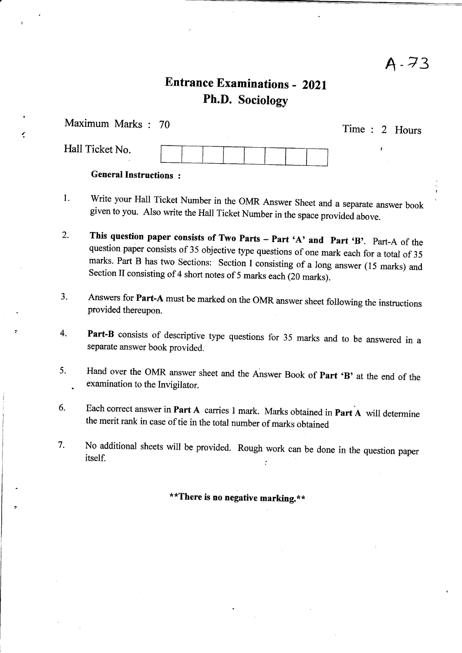A-73

# **Entrance Examinations - 2021** Ph.D. Sociology

| Maximum Marks: 70            | Time : 2 Hours |  |
|------------------------------|----------------|--|
| Hall Ticket No.              |                |  |
| <b>General Instructions:</b> |                |  |

¢

- l. Write your Hall Ticket Number in the OMR Answer Sheet and a separate answer book given to you. Also write the Hall Ticket Number in the space provided above.
- 2. This question paper consists of Two Parts – Part 'A' and Part 'B'. Part-A of the question paper consists of 35 objective type questions of one mark each for a total of 35 marks. Part B has two Sections: Section I consisti
- Answers for Part-A must be marked on the oMR answer sheet following the instructions provided thereupon. J.
- Part-B consists of descriptive type questions for 35 marks and to be answered in a separate answer book provided. 4.
- Hand over the OMR answer sheet and the Answer Book of Part 'B' at the end of the examination to the Invigilator. 5.
- Each correct answer in Part A carries 1 mark. Marks obtained in Part A will determine the merit rank in case of tie in the total number of marks obtained 6.
- 7. No additional sheets will be provided. Rough work can be done in the question paper itself.

\*\*There is no negative marking.\*\*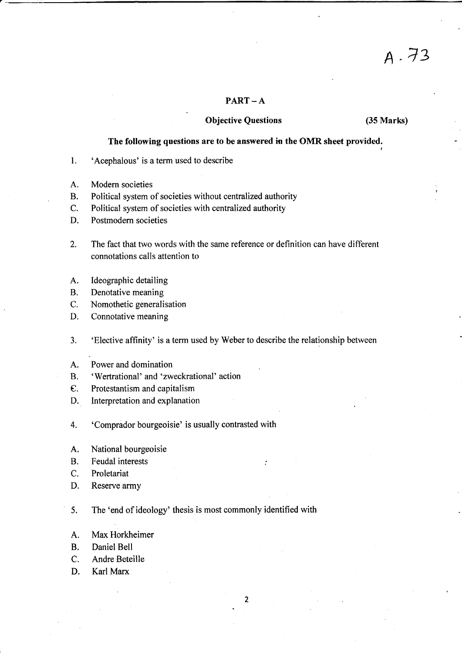## $PART - A$

## Objective Questions (35 Marks)

<sup>A</sup>.13

## The following questions are to be answered in the OMR sheet provided.

- 1. 'Acephalous' is a term used to describe
- A. Modern societies
- B. Political system of societies without centralized authority
- C. Political system of societies with centralized authority
- D. Postmodern societies
- 2. The fact that two words with the same reference or definition can have different connotations calls attention to
- A. Ideographic detailing
- B. Denotative meaning
- C. Nomothetic generalisation
- D. Connotative meaning
- 3. 'Elective affinity' is a term used by Weber to describe the relationship between
- A. Power and domination
- B. 'Wertrational' and 'zweckrational' action
- e. Protestantism and capitalism
- D. Interpretation and explanation
- 4. Comprador bourgeoisie' is usually contrasted with
- A. National bourgeoisie
- B. Feudal interests
- C. Proletariat
- D. Reserve army

5. The 'end of ideology' thesis is most commonly identified with

 $\overline{2}$ 

- A. Max Horkheimer
- B. Daniel Bell
- C. Andre Beteille
- D. Karl Marx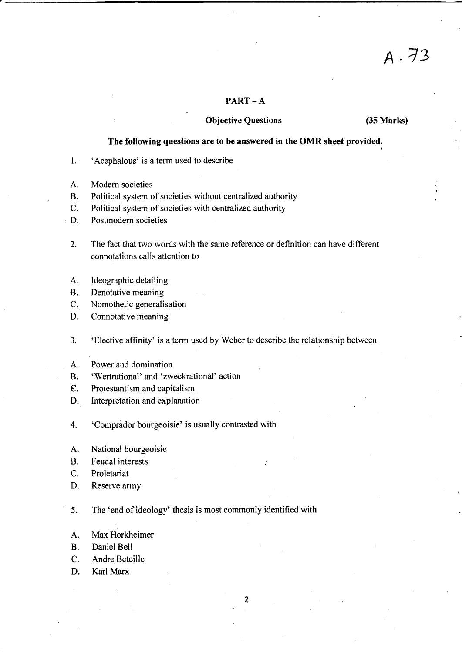## $PART - A$

## Objective Questions (35 Marks)

<sup>A</sup>.13

## The following questions are to be answered in the OMR sheet provided.

- l. 'Acephalous' is a term used to describe
- A. Modern societies
- B. Political system of societies without centralized authority
- C. Political system of societies with centralized authority
- D. Postmodern societies
- 2. The fact that two words with the same reference or definition can have different connotations calls attention to
- A. Ideographic detailing
- B. Denotative meaning
- C. Nomothetic generalisation
- D. Connotative meaning
- 3. 'Elective affinity' is a term used by Weber to describe the relationship between

 $\cdot$ 

 $\overline{2}$ 

- A. Power and domination
- B. 'Wertrational' and 'zweckrational' action
- e. Protestantism and capitalism
- D. Interpretation and explanation
- 4. Comprador bourgeoisie' is usually contrasted with
- A. National bourgeoisie
- B. Feudal interests
- C. Proletariat
- D. Reserve army

5. The 'end of ideology' thesis is most commonly identified with

- A. Max Horkheimer
- B. Daniel Bell
- C. Andre Beteille
- D. Karl Marx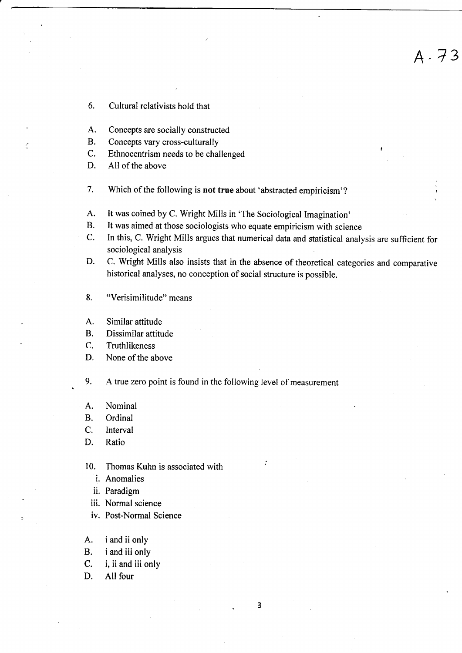- 6. Cultural relativists hold that
- A. Concepts are socially constructed
- B. Concepts vary cross-culturally
- C. Ethnocentrism needs to be challenged
- D. All of the above

Ć

- 7. Which of the following is not true about 'abstracted empiricism'?
- A. It was coined by C. Wright Mills in 'The Sociological Imagination'
- B. It was aimed at those sociologists who equate empiricism with science
- C. In this, C. Wright Mills argues that numerical data and statistical analysis are sufficient for sociological analysis

A-7?

- D. C. Wright Mills also insists that in the absence of theoretical categories and comparative historical analyses, no conception of social structure is possible.
- 8. "Verisimilitude" means
- A. Similar attitude
- B. Dissimilar attitude
- C. Truthlikeness
- D. None of the above
- 9. <sup>A</sup>true zero point is found in the following level of measurement
- A. Nominal
- B. Ordinal
- C. Interval
- D. Ratio
- 10. Thomas Kuhn is associated with
	- i. Anomalies
	- ii. Paradigm
	- iii. Normal science
	- iv. Post-Normal Science
- A. <sup>i</sup>and iionly
- B. i and iii only
- C. i, iiand iii only
- D. All four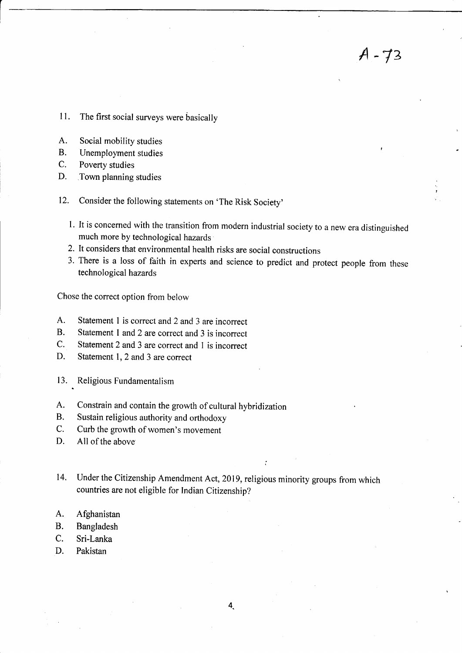- <sup>I</sup>l. The first social surveys were basically
- A. Social mobility studies
- B. Unemployment studies
- C. Poverty studies
- D. Town planning studies
- 12. Consider the following statements on 'The Risk Society'
	- l. It is concerned with the transition from modern industrial society to a new era distinguished much more by technological hazards

A -72

- 2. It considers that environmental health risks are social constructions
- 3. There is a loss of faith in experts and science to predict and protect people from these technological hazards

Chose the correct option from below

- A. Statement 1 is correct and 2 and 3 are incorrect
- B. Statement 1 and 2 are correct and 3 is incorrect
- C. Statement 2 and 3 are correct and I is incorrect
- D. Statement 1, 2 and 3 are correct
- 13. Religious Fundamentalism
- A. Constrain and contain the growth of cultural hybridization
- B. Sustain religious authority and orthodoxy
- C. Curb the growth of women's movement
- D. All of the above
- 14. Under the Citizenship Amendment Act, 2019, religious minority groups from which countries are not eligible for Indian Citizenship?
- A. Afghanistan
- B. Bangladesh
- C. Sri-Lanka
- D. Pakistan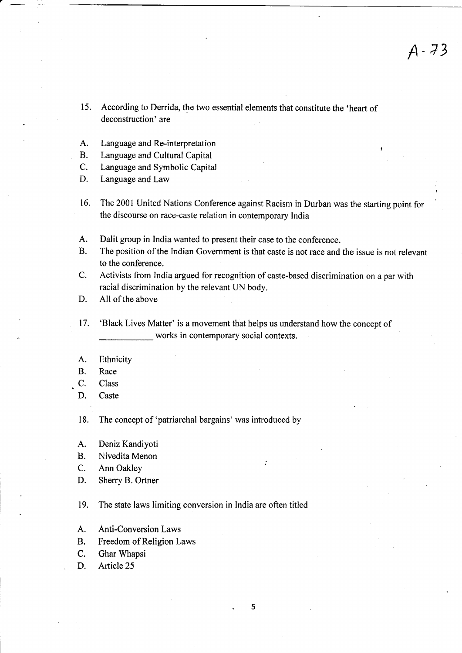- 15. According to Derrida, the two essential elements that constitute the 'heart of deconstruction' are
- A. Language and Re-interpretation
- B. Language and Cultural Capital
- C. Language and Symbolic Capital
- D. Language and Law
- 16. The 2001 United Nations Conference against Racism in Durban was the starting point for the discourse on race-caste relation in contemporary India
- A. Dalit group in India wanted to present their case to the conference.
- B. The position of the Indian Government is that caste is not race and the issue is not relevant to the conference.
- C. Activists from India argued for recognition of caste-based discrimination on a par with racial discrimination by the relevant UN body.
- D. All of the above
- 17. 'Black Lives Matter' is a movement that helps us understand how the concept of works in contemporary social contexts.
- A. Ethnicity
- B. Race
- C. Class
- D. Caste

18. The concept of 'patriarchal bargains' was introduced by

- A. Deniz Kandiyoti
- B. Nivedita Menon
- C. Ann Oakley
- D. Sherry B. Ortner

19. The state laws limiting conversion in India are often titled

- A. Anti-Conversion Laws
- B. Freedom of Religion Laws
- C. Ghar Whapsi
- D. Article 25

.5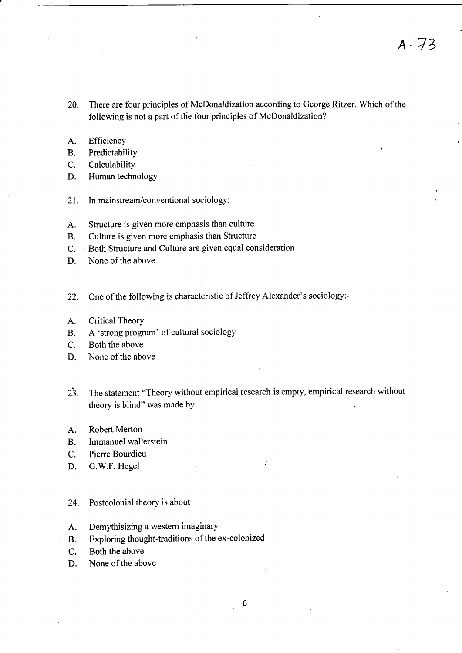- 20. There are four principles of McDonaldization according to George Ritzer. Which of the following is not a part of the four principles of McDonaldization?
- A. Efficiency
- B. Predictability
- C. Calculability
- D. Human technology
- 21. In mainstream/conventional sociology:
- A. Structure is given more emphasis than culture
- B. Culture is given more emphasis than Structure
- C. Both Structure and Culture are given equal consideration
- D. None of the above
- 22. One of the following is characteristic of Jeffrey Alexander's sociology:-
- A. Critical Theory
- B. A 'strong program' of cultural sociology
- C. Both the above
- D. None of the above
- 23. The statement "Theory without empirical research is empty, empirical research without theory is blind" was made bY
- A, Robert Merton
- B. Immanuel wallerstein
- C. Pierre Bourdieu
- D. G.W.F. Hegel
- 24. Postcolonial theory is about
- A. Demythisizing a western imaginary
- B. Exploring thought-traditions of the ex-colonized
- C. Both the above
- D. None of the above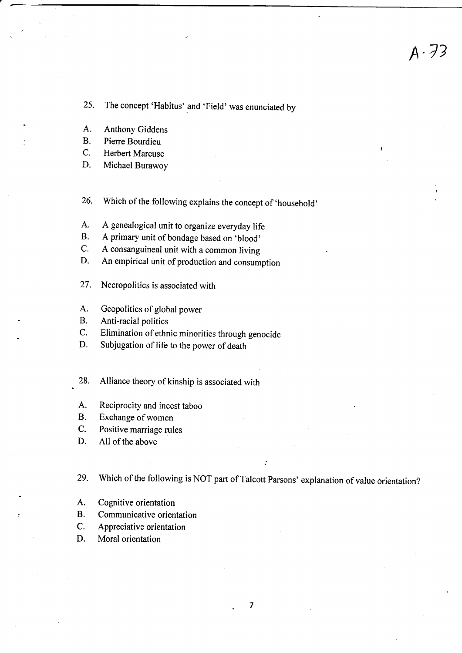25. The concept 'Habitus' and 'Field' was enunciated by

- A. Anthony Giddens
- B. Pierre Bourdieu
- C. Herbert Marcuse
- D. Michael Burawoy

26. which of the following explains the concept of 'household'

- A. A genealogical unit to organize everyday life<br>B. A primary unit of bondage based on 'blood'
- A primary unit of bondage based on 'blood'
- C. <sup>A</sup>consanguineal unit with a common living
- D. An empirical unit of production and consumption
- 27. Necropolitics is associated with
- A. Geopolitics of global power
- B. Anti-racial politics
- C. Elimination of ethnic minorities through genocide
- D. Subjugation of life to the power of death

28. Alliance theory of kinship is associated with

- A. Reciprocity and incest taboo
- B. Exchange of women
- C. Positive marriage rules
- D. All of the above

29. Which of the following is NOT part of Talcott Parsons' explanation of value orientation?

- A. Cognitive orientation
- B. Communicative orientation
- C. Appreciative orientation
- D. Moral orientation

7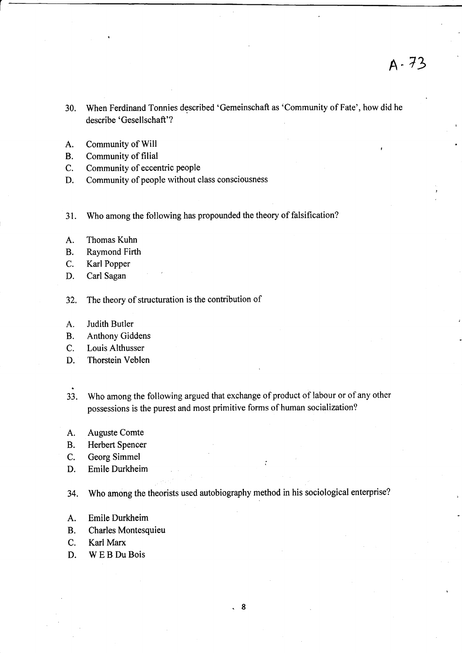- 30. When Ferdinand Tonnies described 'Gemeinschaft as 'Community of Fate', how did he describe 'Gesellschaft'?
- A. Community of Will
- B. Community of filial
- C. Community of eccentric people
- D. Community of people without class consciousness
- 31. Who among the following has propounded the theory of falsification?
- A. Thomas Kuhn
- B. Raymond Firth
- C. Karl Popper
- D. Carl Sagan
- 32, The theory of structuration is the contribution of
- A. Judith Butler
- B. Anthony Giddens
- C. Louis Althusser
- D. Thorstein Veblen
- 33. Who among the following argued that exchange of product of labour or of any other possessions is the purest and most primitive forms of human socialization?
- A. Auguste Comte
- B. Herbert Spencer
- C. Georg Simmel
- D. Emile Durkheim
- 34. Who among the theorists used autobiography method in his sociological enterprise?
- A. Emile Durkheim
- B. Charles Montesquieu
- C. Karl Marx
- D. WEBDuBois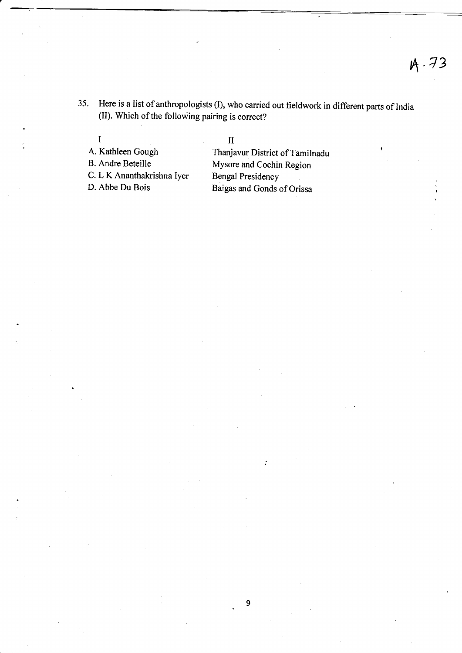35. Here is a list of anthropologists (I), who carried out fieldwork in different parts of India (II). Which of the following pairing is correct?

I<br>A. Kathleen Gough I<br>
A. Kathleen Gough Thanjavur District of Tamilnadu<br>
B. Andre Beteille Mysore and Cochin Region

Mysore and Cochin Region C. L K Ananthakrishna Iyer Bengal Presidency<br>D. Abbe Du Bois Baigas and Gonds Baigas and Gonds of Orissa

ż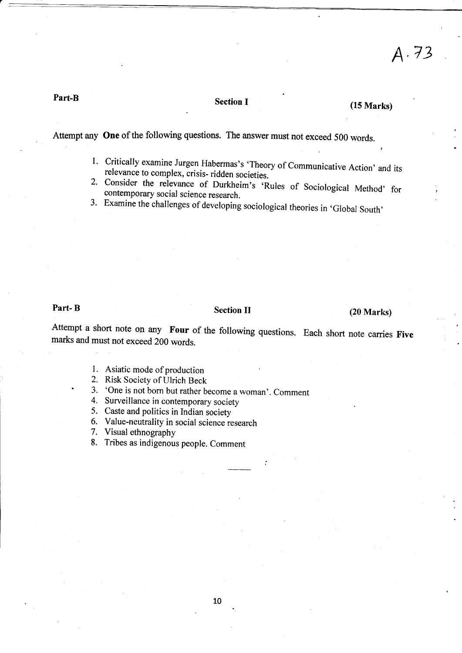## Part-B Section I

## $(15$  Marks)

A.73

Attempt any One of the following questions. The answer must not exceed 500 words.

- 1. Critically examine Jurgen Habermas's 'Theory of Communicative Action' and its relevance to complex, crisis- ridden societies.
- 2. Consider the relevance of Durkheim's 'Rules of Sociological Method' for contemporary social science research.
- 3. Examine the challenges of developing sociological theories in 'Global South'

## Part- B Section II

## (20 Marks)

Attempt a short note on any **Four** of the following questions. Each short note carries **Five** marks and must not exceed 200 words.

1. Asiatic mode of production

2. Risk Society of Ulrich Beck

3. 'One is not born but rather become a woman'. Comment 4. Surveillance in contemporary society

5. Caste and politics in Indian society

6. Value-neutrality in social science research

7. Visual ethnography

8. Tribes as indigenous people. Comment

10